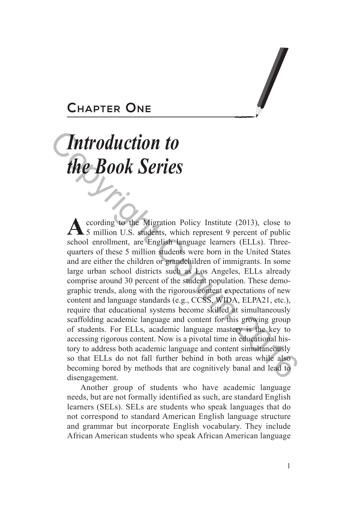# **Chapter One**

# *Introduction to the Book Series*

**A**ccording to the Migration Policy Institute (2013), close to 5 million U.S. students, which represent 9 percent of public school enrollment, are English language learners (ELLs). Threequarters of these 5 million students were born in the United States and are either the children or grandchildren of immigrants. In some large urban school districts such as Los Angeles, ELLs already comprise around 30 percent of the student population. These demographic trends, along with the rigorous content expectations of new content and language standards (e.g., CCSS, WIDA, ELPA21, etc.), require that educational systems become skilled at simultaneously scaffolding academic language and content for this growing group of students. For ELLs, academic language mastery is the key to accessing rigorous content. Now is a pivotal time in educational history to address both academic language and content simultaneously so that ELLs do not fall further behind in both areas while also becoming bored by methods that are cognitively banal and lead to disengagement. Introduction to<br>the Book Series<br>states of the Migration Policy Institute (2013), close to<br>state of smillion U.S. students, which represent 9 percent of public<br>school enrollment, are English language learners (ELLs). Three-

Another group of students who have academic language needs, but are not formally identified as such, are standard English learners (SELs). SELs are students who speak languages that do not correspond to standard American English language structure and grammar but incorporate English vocabulary. They include African American students who speak African American language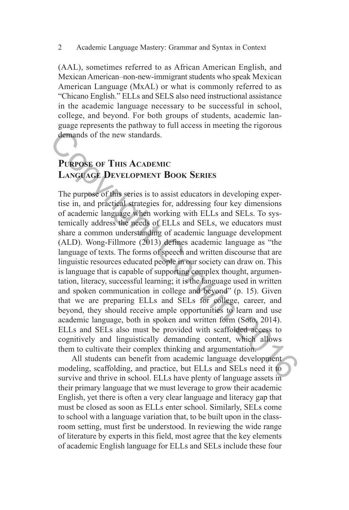(AAL), sometimes referred to as African American English, and Mexican American–non-new-immigrant students who speak Mexican American Language (MxAL) or what is commonly referred to as "Chicano English." ELLs and SELS also need instructional assistance in the academic language necessary to be successful in school, college, and beyond. For both groups of students, academic language represents the pathway to full access in meeting the rigorous demands of the new standards.

# **Purpose of This Academic Language Development Book Series**

The purpose of this series is to assist educators in developing expertise in, and practical strategies for, addressing four key dimensions of academic language when working with ELLs and SELs. To systemically address the needs of ELLs and SELs, we educators must share a common understanding of academic language development (ALD). Wong-Fillmore (2013) defines academic language as "the language of texts. The forms of speech and written discourse that are linguistic resources educated people in our society can draw on. This is language that is capable of supporting complex thought, argumentation, literacy, successful learning; it is the language used in written and spoken communication in college and beyond" (p. 15). Given that we are preparing ELLs and SELs for college, career, and beyond, they should receive ample opportunities to learn and use academic language, both in spoken and written form (Soto, 2014). ELLs and SELs also must be provided with scaffolded access to cognitively and linguistically demanding content, which allows them to cultivate their complex thinking and argumentation. **demands of the new standards.**<br> **PURPOSE OF THIS ACADEMIC**<br> **LANGUAGE DEVELOPMENT BOOK SERIES**<br>
The purpose of this series is to assist educators in developing exper-<br>
tise in, and practical strategies for, addressing fo

All students can benefit from academic language development modeling, scaffolding, and practice, but ELLs and SELs need it to survive and thrive in school. ELLs have plenty of language assets in their primary language that we must leverage to grow their academic English, yet there is often a very clear language and literacy gap that must be closed as soon as ELLs enter school. Similarly, SELs come to school with a language variation that, to be built upon in the classroom setting, must first be understood. In reviewing the wide range of literature by experts in this field, most agree that the key elements of academic English language for ELLs and SELs include these four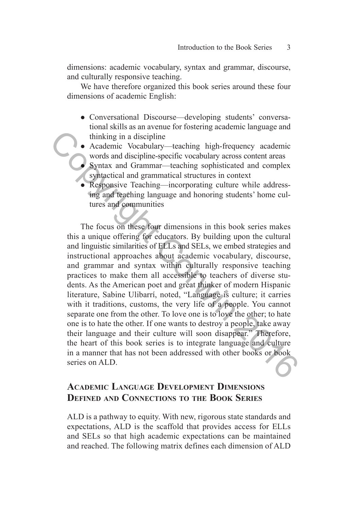dimensions: academic vocabulary, syntax and grammar, discourse, and culturally responsive teaching.

We have therefore organized this book series around these four dimensions of academic English:

- Conversational Discourse—developing students' conversational skills as an avenue for fostering academic language and thinking in a discipline
- z Academic Vocabulary—teaching high-frequency academic words and discipline-specific vocabulary across content areas
- z Syntax and Grammar—teaching sophisticated and complex syntactical and grammatical structures in context
- Responsive Teaching—incorporating culture while addressing and teaching language and honoring students' home cultures and communities

The focus on these four dimensions in this book series makes this a unique offering for educators. By building upon the cultural and linguistic similarities of ELLs and SELs, we embed strategies and instructional approaches about academic vocabulary, discourse, and grammar and syntax within culturally responsive teaching practices to make them all accessible to teachers of diverse students. As the American poet and great thinker of modern Hispanic literature, Sabine Ulibarrí, noted, "Language is culture; it carries with it traditions, customs, the very life of a people. You cannot separate one from the other. To love one is to love the other; to hate one is to hate the other. If one wants to destroy a people, take away their language and their culture will soon disappear." Therefore, the heart of this book series is to integrate language and culture in a manner that has not been addressed with other books or book series on ALD. Thinking in a discipline<br>
Academic Vocabulary—teaching high-frequency academic<br>
Nords and discipline-specific vocabulary—teaching sophisticated and complex<br>
Syntax and Grammar—teaching sophisticated and complex<br>
Syntax and

### **Academic Language Development Dimensions Defined and Connections to the Book Series**

ALD is a pathway to equity. With new, rigorous state standards and expectations, ALD is the scaffold that provides access for ELLs and SELs so that high academic expectations can be maintained and reached. The following matrix defines each dimension of ALD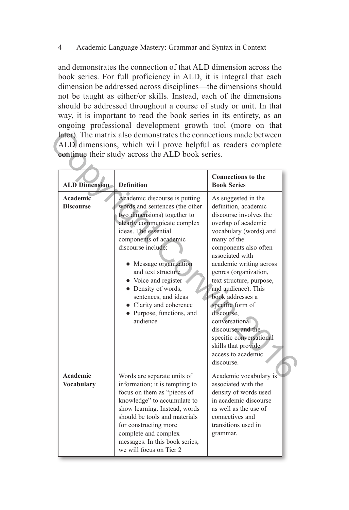#### 4 Academic Language Mastery: Grammar and Syntax in Context

and demonstrates the connection of that ALD dimension across the book series. For full proficiency in ALD, it is integral that each dimension be addressed across disciplines—the dimensions should not be taught as either/or skills. Instead, each of the dimensions should be addressed throughout a course of study or unit. In that way, it is important to read the book series in its entirety, as an ongoing professional development growth tool (more on that later). The matrix also demonstrates the connections made between ALD dimensions, which will prove helpful as readers complete continue their study across the ALD book series.

|                                     | later). The matrix also demonstrates the connections made between<br>ALD dimensions, which will prove helpful as readers complete<br>continue their study across the ALD book series.                                                                                                                                                                                                            |                                                                                                                                                                                                                                                                                                                                                                                                                                                                              |
|-------------------------------------|--------------------------------------------------------------------------------------------------------------------------------------------------------------------------------------------------------------------------------------------------------------------------------------------------------------------------------------------------------------------------------------------------|------------------------------------------------------------------------------------------------------------------------------------------------------------------------------------------------------------------------------------------------------------------------------------------------------------------------------------------------------------------------------------------------------------------------------------------------------------------------------|
| <b>ALD</b> Dimension                | <b>Definition</b>                                                                                                                                                                                                                                                                                                                                                                                | <b>Connections to the</b><br><b>Book Series</b>                                                                                                                                                                                                                                                                                                                                                                                                                              |
| <b>Academic</b><br><b>Discourse</b> | Academic discourse is putting<br>words and sentences (the other<br>two dimensions) together to<br>clearly communicate complex<br>ideas. The essential<br>components of academic<br>discourse include:<br>• Message organization<br>and text structure<br>• Voice and register<br>• Density of words,<br>sentences, and ideas<br>• Clarity and coherence<br>• Purpose, functions, and<br>audience | As suggested in the<br>definition, academic<br>discourse involves the<br>overlap of academic<br>vocabulary (words) and<br>many of the<br>components also often<br>associated with<br>academic writing across<br>genres (organization,<br>text structure, purpose,<br>and audience). This<br>book addresses a<br>specific form of<br>discourse,<br>conversational<br>discourse, and the<br>specific conversational<br>skills that provide<br>access to academic<br>discourse. |
| Academic<br><b>Vocabulary</b>       | Words are separate units of<br>information; it is tempting to<br>focus on them as "pieces of<br>knowledge" to accumulate to<br>show learning. Instead, words<br>should be tools and materials<br>for constructing more<br>complete and complex<br>messages. In this book series,<br>we will focus on Tier 2                                                                                      | Academic vocabulary is<br>associated with the<br>density of words used<br>in academic discourse<br>as well as the use of<br>connectives and<br>transitions used in<br>grammar.                                                                                                                                                                                                                                                                                               |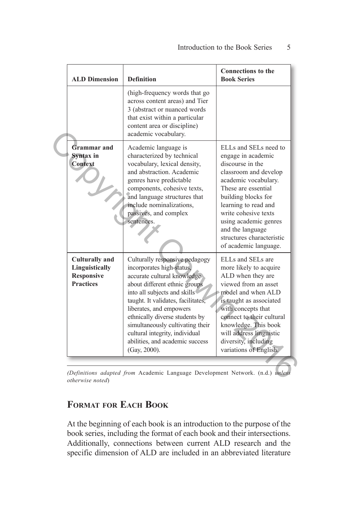| <b>ALD Dimension</b>                                                             | <b>Definition</b>                                                                                                                                                                                                                                                                                                                                                                       | <b>Connections to the</b><br><b>Book Series</b>                                                                                                                                                                                                                                                                   |
|----------------------------------------------------------------------------------|-----------------------------------------------------------------------------------------------------------------------------------------------------------------------------------------------------------------------------------------------------------------------------------------------------------------------------------------------------------------------------------------|-------------------------------------------------------------------------------------------------------------------------------------------------------------------------------------------------------------------------------------------------------------------------------------------------------------------|
|                                                                                  | (high-frequency words that go<br>across content areas) and Tier<br>3 (abstract or nuanced words)<br>that exist within a particular<br>content area or discipline)<br>academic vocabulary.                                                                                                                                                                                               |                                                                                                                                                                                                                                                                                                                   |
| Grammar and<br>Syntax in<br><b>Context</b>                                       | Academic language is<br>characterized by technical<br>vocabulary, lexical density,<br>and abstraction. Academic<br>genres have predictable<br>components, cohesive texts,<br>and language structures that<br>include nominalizations,<br>passives, and complex<br>sentences.                                                                                                            | ELLs and SELs need to<br>engage in academic<br>discourse in the<br>classroom and develop<br>academic vocabulary.<br>These are essential<br>building blocks for<br>learning to read and<br>write cohesive texts<br>using academic genres<br>and the language<br>structures characteristic<br>of academic language. |
| <b>Culturally and</b><br>Linguistically<br><b>Responsive</b><br><b>Practices</b> | Culturally responsive pedagogy<br>incorporates high-status,<br>accurate cultural knowledge<br>about different ethnic groups<br>into all subjects and skills<br>taught. It validates, facilitates,<br>liberates, and empowers<br>ethnically diverse students by<br>simultaneously cultivating their<br>cultural integrity, individual<br>abilities, and academic success<br>(Gay, 2000). | ELLs and SELs are<br>more likely to acquire<br>ALD when they are<br>viewed from an asset<br>model and when ALD<br>is taught as associated<br>with concepts that<br>connect to their cultural<br>knowledge. This book<br>will address linguistic<br>diversity, including<br>variations of English.                 |

*(Definitions adapted from* Academic Language Development Network. (n.d.) *unless otherwise noted*)

# **Format for Each Book**

At the beginning of each book is an introduction to the purpose of the book series, including the format of each book and their intersections. Additionally, connections between current ALD research and the specific dimension of ALD are included in an abbreviated literature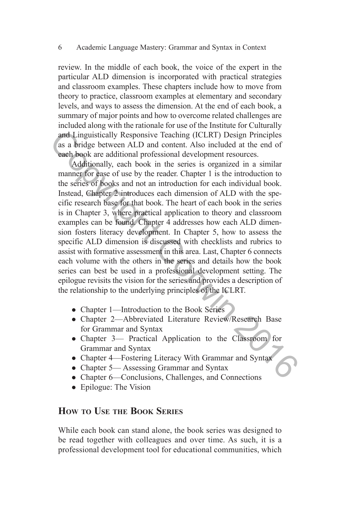review. In the middle of each book, the voice of the expert in the particular ALD dimension is incorporated with practical strategies and classroom examples. These chapters include how to move from theory to practice, classroom examples at elementary and secondary levels, and ways to assess the dimension. At the end of each book, a summary of major points and how to overcome related challenges are included along with the rationale for use of the Institute for Culturally and Linguistically Responsive Teaching (ICLRT) Design Principles as a bridge between ALD and content. Also included at the end of each book are additional professional development resources.

Additionally, each book in the series is organized in a similar manner for ease of use by the reader. Chapter 1 is the introduction to the series of books and not an introduction for each individual book. Instead, Chapter 2 introduces each dimension of ALD with the specific research base for that book. The heart of each book in the series is in Chapter 3, where practical application to theory and classroom examples can be found. Chapter 4 addresses how each ALD dimension fosters literacy development. In Chapter 5, how to assess the specific ALD dimension is discussed with checklists and rubrics to assist with formative assessment in this area. Last, Chapter 6 connects each volume with the others in the series and details how the book series can best be used in a professional development setting. The epilogue revisits the vision for the series and provides a description of the relationship to the underlying principles of the ICLRT. and Linguistically Responsive Teaching (ICLRT) Design Principles<br>
as a bridge between ALD and content. Also included at the end of<br>
each book are additional professional development resources.<br>
Additionally, each book in

- Chapter 1—Introduction to the Book Series
- Chapter 2—Abbreviated Literature Review/Research Base for Grammar and Syntax
- Chapter 3— Practical Application to the Classroom for Grammar and Syntax
- Chapter 4—Fostering Literacy With Grammar and Syntax
- Chapter 5— Assessing Grammar and Syntax
- Chapter 6—Conclusions, Challenges, and Connections
- Epilogue: The Vision

#### **How to Use the Book Series**

While each book can stand alone, the book series was designed to be read together with colleagues and over time. As such, it is a professional development tool for educational communities, which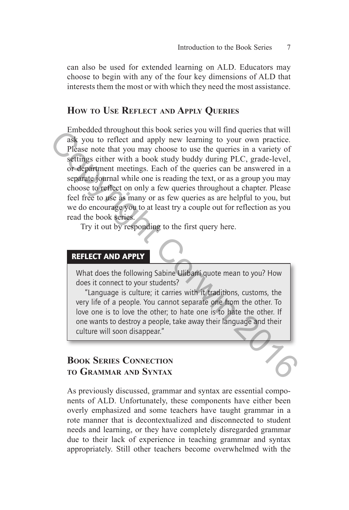can also be used for extended learning on ALD. Educators may choose to begin with any of the four key dimensions of ALD that interests them the most or with which they need the most assistance.

#### **How to Use Reflect and Apply Queries**

Embedded throughout this book series you will find queries that will ask you to reflect and apply new learning to your own practice. Please note that you may choose to use the queries in a variety of settings either with a book study buddy during PLC, grade-level, or department meetings. Each of the queries can be answered in a separate journal while one is reading the text, or as a group you may choose to reflect on only a few queries throughout a chapter. Please feel free to use as many or as few queries as are helpful to you, but we do encourage you to at least try a couple out for reflection as you read the book series. Enho accord anongolour this book series you will may denees had will<br>ask you to reflect and apply new learning to your own practice.<br>Please note that you may choose to use the queries in a variety of<br>settings either with a

Try it out by responding to the first query here.

#### REFLECT AND APPLY

What does the following Sabine Ulibarrí quote mean to you? How does it connect to your students?

"Language is culture; it carries with it traditions, customs, the very life of a people. You cannot separate one from the other. To love one is to love the other; to hate one is to hate the other. If one wants to destroy a people, take away their language and their culture will soon disappear."

## **Book Series Connection to Grammar and Syntax**

As previously discussed, grammar and syntax are essential components of ALD. Unfortunately, these components have either been overly emphasized and some teachers have taught grammar in a rote manner that is decontextualized and disconnected to student needs and learning, or they have completely disregarded grammar due to their lack of experience in teaching grammar and syntax appropriately. Still other teachers become overwhelmed with the